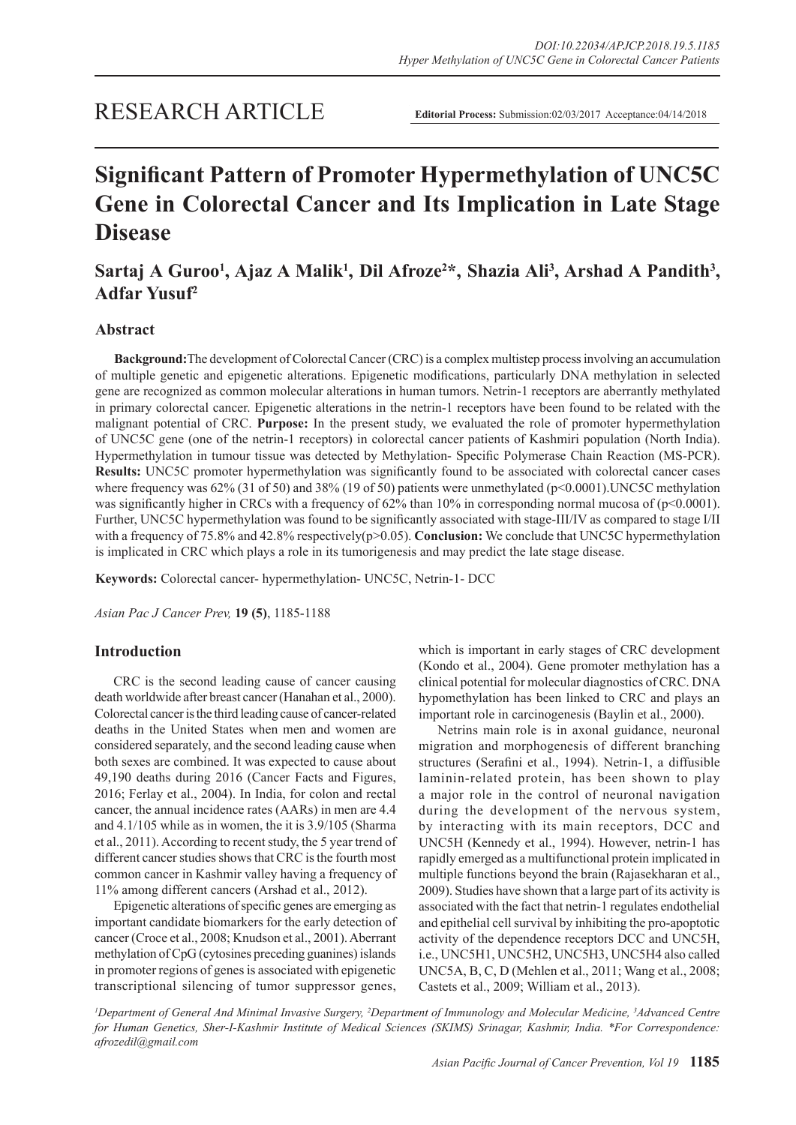# **Significant Pattern of Promoter Hypermethylation of UNC5C Gene in Colorectal Cancer and Its Implication in Late Stage Disease**

## Sartaj A Guroo<sup>1</sup>, Ajaz A Malik<sup>1</sup>, Dil Afroze<sup>2\*</sup>, Shazia Ali<sup>3</sup>, Arshad A Pandith<sup>3</sup>, **Adfar Yusuf<sup>2</sup>**

## **Abstract**

**Background:**The development of Colorectal Cancer (CRC) is a complex multistep process involving an accumulation of multiple genetic and epigenetic alterations. Epigenetic modifications, particularly DNA methylation in selected gene are recognized as common molecular alterations in human tumors. Netrin-1 receptors are aberrantly methylated in primary colorectal cancer. Epigenetic alterations in the netrin-1 receptors have been found to be related with the malignant potential of CRC. **Purpose:** In the present study, we evaluated the role of promoter hypermethylation of UNC5C gene (one of the netrin-1 receptors) in colorectal cancer patients of Kashmiri population (North India). Hypermethylation in tumour tissue was detected by Methylation- Specific Polymerase Chain Reaction (MS-PCR). **Results:** UNC5C promoter hypermethylation was significantly found to be associated with colorectal cancer cases where frequency was 62% (31 of 50) and 38% (19 of 50) patients were unmethylated (p<0.0001).UNC5C methylation was significantly higher in CRCs with a frequency of 62% than 10% in corresponding normal mucosa of (p<0.0001). Further, UNC5C hypermethylation was found to be significantly associated with stage-III/IV as compared to stage I/II with a frequency of 75.8% and 42.8% respectively(p>0.05). **Conclusion:** We conclude that UNC5C hypermethylation is implicated in CRC which plays a role in its tumorigenesis and may predict the late stage disease.

**Keywords:** Colorectal cancer- hypermethylation- UNC5C, Netrin-1- DCC

*Asian Pac J Cancer Prev,* **19 (5)**, 1185-1188

## **Introduction**

CRC is the second leading cause of cancer causing death worldwide after breast cancer (Hanahan et al., 2000). Colorectal cancer is the third leading cause of cancer-related deaths in the United States when men and women are considered separately, and the second leading cause when both sexes are combined. It was expected to cause about 49,190 deaths during 2016 (Cancer Facts and Figures, 2016; Ferlay et al., 2004). In India, for colon and rectal cancer, the annual incidence rates (AARs) in men are 4.4 and 4.1/105 while as in women, the it is 3.9/105 (Sharma et al., 2011). According to recent study, the 5 year trend of different cancer studies shows that CRC is the fourth most common cancer in Kashmir valley having a frequency of 11% among different cancers (Arshad et al., 2012).

Epigenetic alterations of specific genes are emerging as important candidate biomarkers for the early detection of cancer (Croce et al., 2008; Knudson et al., 2001). Aberrant methylation of CpG (cytosines preceding guanines) islands in promoter regions of genes is associated with epigenetic transcriptional silencing of tumor suppressor genes, which is important in early stages of CRC development (Kondo et al., 2004). Gene promoter methylation has a clinical potential for molecular diagnostics of CRC. DNA hypomethylation has been linked to CRC and plays an important role in carcinogenesis (Baylin et al., 2000).

Netrins main role is in axonal guidance, neuronal migration and morphogenesis of different branching structures (Serafini et al., 1994). Netrin-1, a diffusible laminin-related protein, has been shown to play a major role in the control of neuronal navigation during the development of the nervous system, by interacting with its main receptors, DCC and UNC5H (Kennedy et al., 1994). However, netrin-1 has rapidly emerged as a multifunctional protein implicated in multiple functions beyond the brain (Rajasekharan et al., 2009). Studies have shown that a large part of its activity is associated with the fact that netrin-1 regulates endothelial and epithelial cell survival by inhibiting the pro-apoptotic activity of the dependence receptors DCC and UNC5H, i.e., UNC5H1, UNC5H2, UNC5H3, UNC5H4 also called UNC5A, B, C, D (Mehlen et al., 2011; Wang et al., 2008; Castets et al., 2009; William et al., 2013).

*1 Department of General And Minimal Invasive Surgery, 2 Department of Immunology and Molecular Medicine, 3 Advanced Centre for Human Genetics, Sher-I-Kashmir Institute of Medical Sciences (SKIMS) Srinagar, Kashmir, India. \*For Correspondence: afrozedil@gmail.com*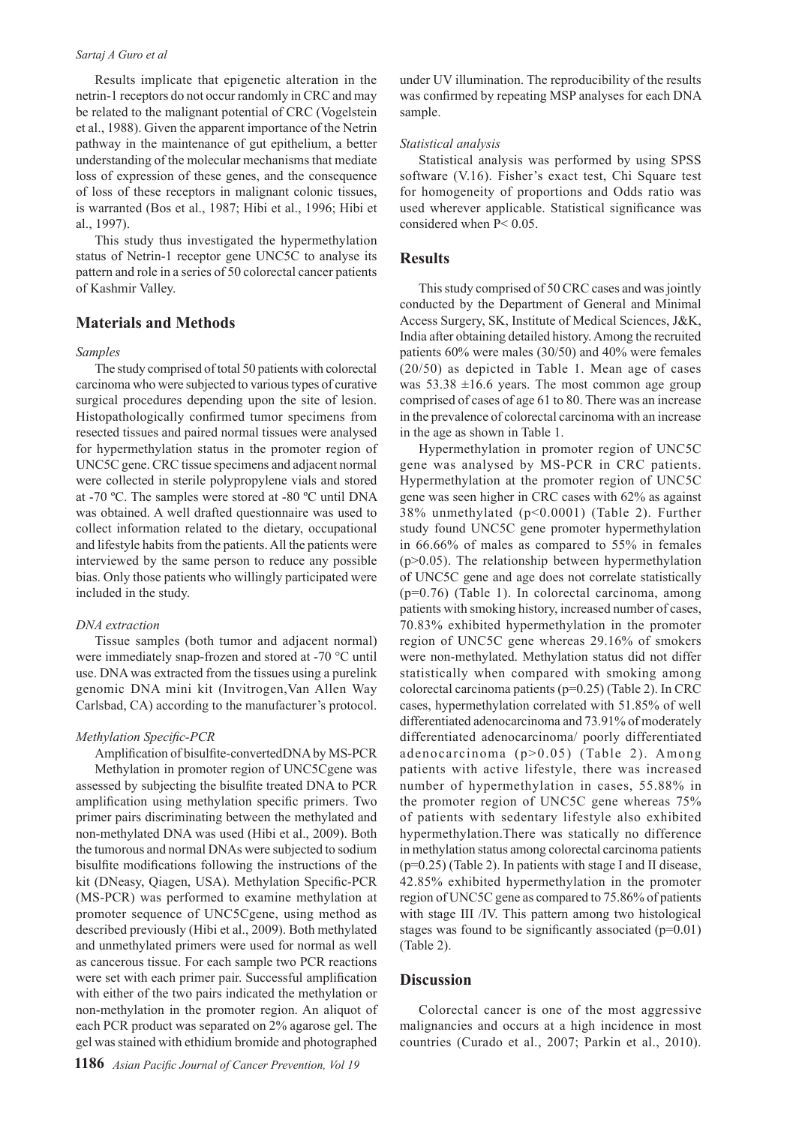#### *Sartaj A Guro et al*

Results implicate that epigenetic alteration in the netrin-1 receptors do not occur randomly in CRC and may be related to the malignant potential of CRC (Vogelstein et al., 1988). Given the apparent importance of the Netrin pathway in the maintenance of gut epithelium, a better understanding of the molecular mechanisms that mediate loss of expression of these genes, and the consequence of loss of these receptors in malignant colonic tissues, is warranted (Bos et al., 1987; Hibi et al., 1996; Hibi et al., 1997).

This study thus investigated the hypermethylation status of Netrin-1 receptor gene UNC5C to analyse its pattern and role in a series of 50 colorectal cancer patients of Kashmir Valley.

## **Materials and Methods**

#### *Samples*

The study comprised of total 50 patients with colorectal carcinoma who were subjected to various types of curative surgical procedures depending upon the site of lesion. Histopathologically confirmed tumor specimens from resected tissues and paired normal tissues were analysed for hypermethylation status in the promoter region of UNC5C gene. CRC tissue specimens and adjacent normal were collected in sterile polypropylene vials and stored at -70 ºC. The samples were stored at -80 ºC until DNA was obtained. A well drafted questionnaire was used to collect information related to the dietary, occupational and lifestyle habits from the patients. All the patients were interviewed by the same person to reduce any possible bias. Only those patients who willingly participated were included in the study.

#### *DNA extraction*

Tissue samples (both tumor and adjacent normal) were immediately snap-frozen and stored at -70 °C until use. DNA was extracted from the tissues using a purelink genomic DNA mini kit (Invitrogen,Van Allen Way Carlsbad, CA) according to the manufacturer's protocol.

#### *Methylation Specific-PCR*

Amplification of bisulfite-convertedDNA by MS-PCR Methylation in promoter region of UNC5Cgene was assessed by subjecting the bisulfite treated DNA to PCR amplification using methylation specific primers. Two primer pairs discriminating between the methylated and non-methylated DNA was used (Hibi et al., 2009). Both the tumorous and normal DNAs were subjected to sodium bisulfite modifications following the instructions of the kit (DNeasy, Qiagen, USA). Methylation Specific-PCR (MS-PCR) was performed to examine methylation at promoter sequence of UNC5Cgene, using method as described previously (Hibi et al., 2009). Both methylated and unmethylated primers were used for normal as well as cancerous tissue. For each sample two PCR reactions were set with each primer pair. Successful amplification with either of the two pairs indicated the methylation or non-methylation in the promoter region. An aliquot of each PCR product was separated on 2% agarose gel. The gel was stained with ethidium bromide and photographed

under UV illumination. The reproducibility of the results was confirmed by repeating MSP analyses for each DNA sample.

#### *Statistical analysis*

Statistical analysis was performed by using SPSS software (V.16). Fisher's exact test, Chi Square test for homogeneity of proportions and Odds ratio was used wherever applicable. Statistical significance was considered when P< 0.05.

#### **Results**

This study comprised of 50 CRC cases and was jointly conducted by the Department of General and Minimal Access Surgery, SK, Institute of Medical Sciences, J&K, India after obtaining detailed history. Among the recruited patients 60% were males (30/50) and 40% were females (20/50) as depicted in Table 1. Mean age of cases was  $53.38 \pm 16.6$  years. The most common age group comprised of cases of age 61 to 80. There was an increase in the prevalence of colorectal carcinoma with an increase in the age as shown in Table 1.

Hypermethylation in promoter region of UNC5C gene was analysed by MS-PCR in CRC patients. Hypermethylation at the promoter region of UNC5C gene was seen higher in CRC cases with 62% as against 38% unmethylated (p<0.0001) (Table 2). Further study found UNC5C gene promoter hypermethylation in 66.66% of males as compared to 55% in females (p>0.05). The relationship between hypermethylation of UNC5C gene and age does not correlate statistically (p=0.76) (Table 1). In colorectal carcinoma, among patients with smoking history, increased number of cases, 70.83% exhibited hypermethylation in the promoter region of UNC5C gene whereas 29.16% of smokers were non-methylated. Methylation status did not differ statistically when compared with smoking among colorectal carcinoma patients (p=0.25) (Table 2). In CRC cases, hypermethylation correlated with 51.85% of well differentiated adenocarcinoma and 73.91% of moderately differentiated adenocarcinoma/ poorly differentiated adenocarcinoma (p>0.05) (Table 2). Among patients with active lifestyle, there was increased number of hypermethylation in cases, 55.88% in the promoter region of UNC5C gene whereas 75% of patients with sedentary lifestyle also exhibited hypermethylation.There was statically no difference in methylation status among colorectal carcinoma patients (p=0.25) (Table 2). In patients with stage I and II disease, 42.85% exhibited hypermethylation in the promoter region of UNC5C gene as compared to 75.86% of patients with stage III /IV. This pattern among two histological stages was found to be significantly associated (p=0.01) (Table 2).

#### **Discussion**

Colorectal cancer is one of the most aggressive malignancies and occurs at a high incidence in most countries (Curado et al., 2007; Parkin et al., 2010).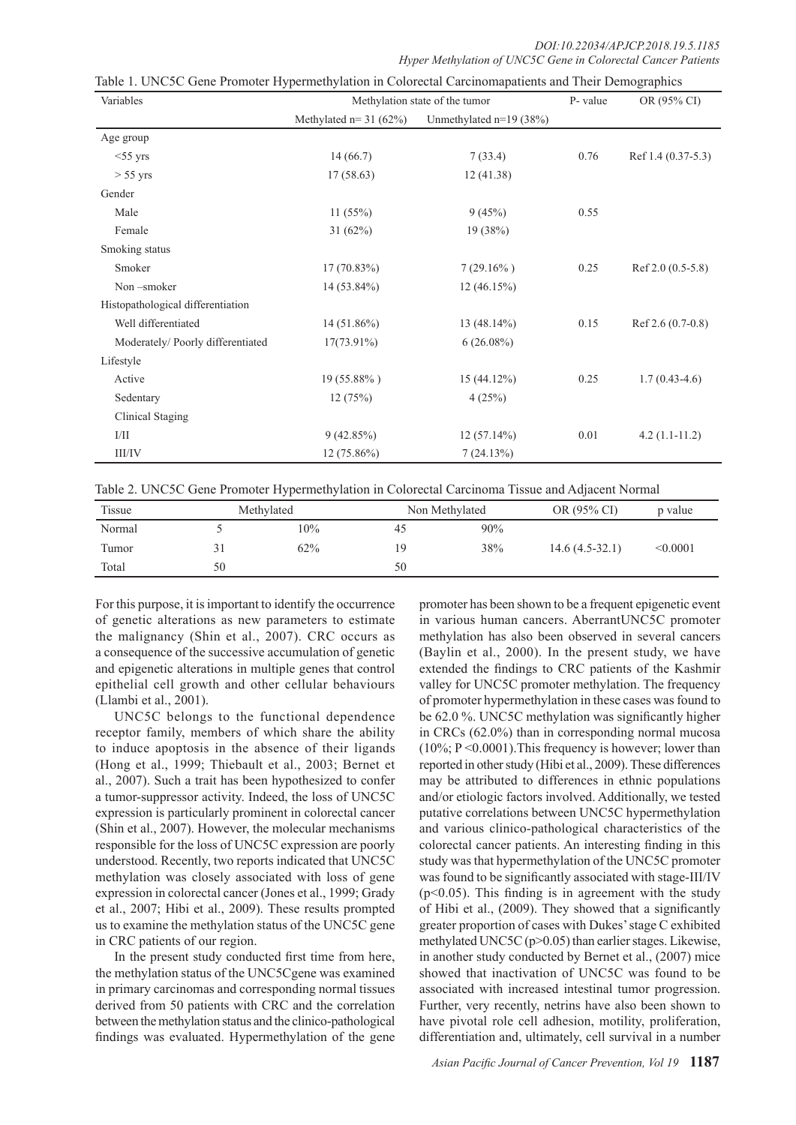| Variables                         | ┙┸<br>Methylation state of the tumor |                           | P- value | $\mathbf{r}$<br>OR (95% CI) |
|-----------------------------------|--------------------------------------|---------------------------|----------|-----------------------------|
|                                   | Methylated $n=31$ (62%)              | Unmethylated $n=19$ (38%) |          |                             |
| Age group                         |                                      |                           |          |                             |
| $<$ 55 yrs                        | 14(66.7)                             | 7(33.4)                   | 0.76     | Ref 1.4 (0.37-5.3)          |
| $> 55 \text{ yrs}$                | 17(58.63)                            | 12(41.38)                 |          |                             |
| Gender                            |                                      |                           |          |                             |
| Male                              | 11(55%)                              | 9(45%)                    | 0.55     |                             |
| Female                            | $31(62\%)$                           | 19(38%)                   |          |                             |
| Smoking status                    |                                      |                           |          |                             |
| Smoker                            | $17(70.83\%)$                        | $7(29.16\%)$              | 0.25     | Ref $2.0(0.5-5.8)$          |
| Non-smoker                        | 14 (53.84%)                          | 12(46.15%)                |          |                             |
| Histopathological differentiation |                                      |                           |          |                             |
| Well differentiated               | $14(51.86\%)$                        | $13(48.14\%)$             | 0.15     | $Ref 2.6 (0.7-0.8)$         |
| Moderately/Poorly differentiated  | $17(73.91\%)$                        | $6(26.08\%)$              |          |                             |
| Lifestyle                         |                                      |                           |          |                             |
| Active                            | 19 (55.88%)                          | $15(44.12\%)$             | 0.25     | $1.7(0.43-4.6)$             |
| Sedentary                         | 12(75%)                              | 4(25%)                    |          |                             |
| Clinical Staging                  |                                      |                           |          |                             |
| I/II                              | 9(42.85%)                            | $12(57.14\%)$             | 0.01     | $4.2(1.1-11.2)$             |
| III/IV                            | $12(75.86\%)$                        | 7(24.13%)                 |          |                             |

Table 1. UNC5C Gene Promoter Hypermethylation in Colorectal Carcinomapatients and Their Demographics

Table 2. UNC5C Gene Promoter Hypermethylation in Colorectal Carcinoma Tissue and Adjacent Normal

| Tissue | Methylated |     | Non Methylated |     | OR (95% CI)      | p value  |  |
|--------|------------|-----|----------------|-----|------------------|----------|--|
| Normal |            | 10% | 45             | 90% |                  |          |  |
| Tumor  |            | 62% | ١G             | 38% | $14.6(4.5-32.1)$ | < 0.0001 |  |
| Total  | 50         |     | 50             |     |                  |          |  |

For this purpose, it is important to identify the occurrence of genetic alterations as new parameters to estimate the malignancy (Shin et al., 2007). CRC occurs as a consequence of the successive accumulation of genetic and epigenetic alterations in multiple genes that control epithelial cell growth and other cellular behaviours (Llambi et al., 2001).

UNC5C belongs to the functional dependence receptor family, members of which share the ability to induce apoptosis in the absence of their ligands (Hong et al., 1999; Thiebault et al., 2003; Bernet et al., 2007). Such a trait has been hypothesized to confer a tumor-suppressor activity. Indeed, the loss of UNC5C expression is particularly prominent in colorectal cancer (Shin et al., 2007). However, the molecular mechanisms responsible for the loss of UNC5C expression are poorly understood. Recently, two reports indicated that UNC5C methylation was closely associated with loss of gene expression in colorectal cancer (Jones et al., 1999; Grady et al., 2007; Hibi et al., 2009). These results prompted us to examine the methylation status of the UNC5C gene in CRC patients of our region.

In the present study conducted first time from here, the methylation status of the UNC5Cgene was examined in primary carcinomas and corresponding normal tissues derived from 50 patients with CRC and the correlation between the methylation status and the clinico-pathological findings was evaluated. Hypermethylation of the gene promoter has been shown to be a frequent epigenetic event in various human cancers. AberrantUNC5C promoter methylation has also been observed in several cancers (Baylin et al., 2000). In the present study, we have extended the findings to CRC patients of the Kashmir valley for UNC5C promoter methylation. The frequency of promoter hypermethylation in these cases was found to be 62.0 %. UNC5C methylation was significantly higher in CRCs (62.0%) than in corresponding normal mucosa  $(10\%; P<0.0001)$ . This frequency is however; lower than reported in other study (Hibi et al., 2009). These differences may be attributed to differences in ethnic populations and/or etiologic factors involved. Additionally, we tested putative correlations between UNC5C hypermethylation and various clinico-pathological characteristics of the colorectal cancer patients. An interesting finding in this study was that hypermethylation of the UNC5C promoter was found to be significantly associated with stage-III/IV  $(p<0.05)$ . This finding is in agreement with the study of Hibi et al., (2009). They showed that a significantly greater proportion of cases with Dukes' stage C exhibited methylated UNC5C (p>0.05) than earlier stages. Likewise, in another study conducted by Bernet et al., (2007) mice showed that inactivation of UNC5C was found to be associated with increased intestinal tumor progression. Further, very recently, netrins have also been shown to have pivotal role cell adhesion, motility, proliferation, differentiation and, ultimately, cell survival in a number